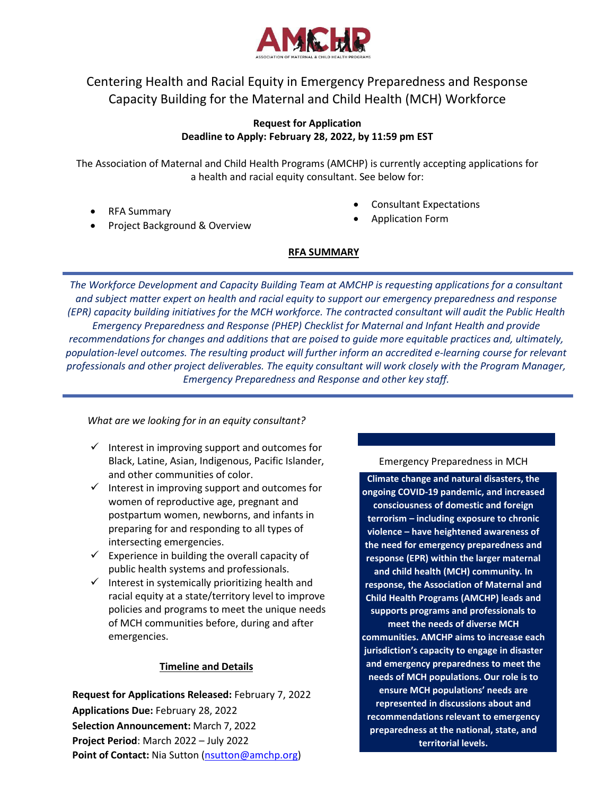

# Centering Health and Racial Equity in Emergency Preparedness and Response Capacity Building for the Maternal and Child Health (MCH) Workforce

### **Request for Application Deadline to Apply: February 28, 2022, by 11:59 pm EST**

The Association of Maternal and Child Health Programs (AMCHP) is currently accepting applications for a health and racial equity consultant. See below for:

• RFA Summary

- Consultant Expectations
- Application Form
- Project Background & Overview
- **RFA SUMMARY**

*The Workforce Development and Capacity Building Team at AMCHP is requesting applications for a consultant and subject matter expert on health and racial equity to support our emergency preparedness and response (EPR) capacity building initiatives for the MCH workforce. The contracted consultant will audit the Public Health Emergency Preparedness and Response (PHEP) Checklist for Maternal and Infant Health and provide recommendations for changes and additions that are poised to guide more equitable practices and, ultimately,*  population-level outcomes. The resulting product will further inform an accredited e-learning course for relevant *professionals and other project deliverables. The equity consultant will work closely with the Program Manager, Emergency Preparedness and Response and other key staff.*

*What are we looking for in an equity consultant?*

- $\checkmark$  Interest in improving support and outcomes for Black, Latine, Asian, Indigenous, Pacific Islander, and other communities of color.
- $\checkmark$  Interest in improving support and outcomes for women of reproductive age, pregnant and postpartum women, newborns, and infants in preparing for and responding to all types of intersecting emergencies.
- $\checkmark$  Experience in building the overall capacity of public health systems and professionals.
- $\checkmark$  Interest in systemically prioritizing health and racial equity at a state/territory level to improve policies and programs to meet the unique needs of MCH communities before, during and after emergencies.

# **Timeline and Details**

**Request for Applications Released:** February 7, 2022 **Applications Due:** February 28, 2022 **Selection Announcement:** March 7, 2022 **Project Period**: March 2022 – July 2022 **Point of Contact:** Nia Sutton [\(nsutton@amchp.org\)](mailto:nsutton@amchp.org)

Emergency Preparedness in MCH

**Climate change and natural disasters, the ongoing COVID-19 pandemic, and increased consciousness of domestic and foreign terrorism – including exposure to chronic violence – have heightened awareness of the need for emergency preparedness and response (EPR) within the larger maternal and child health (MCH) community. In response, the Association of Maternal and Child Health Programs (AMCHP) leads and supports programs and professionals to** 

**meet the needs of diverse MCH communities. AMCHP aims to increase each jurisdiction's capacity to engage in disaster and emergency preparedness to meet the needs of MCH populations. Our role is to** 

**ensure MCH populations' needs are represented in discussions about and recommendations relevant to emergency preparedness at the national, state, and territorial levels.**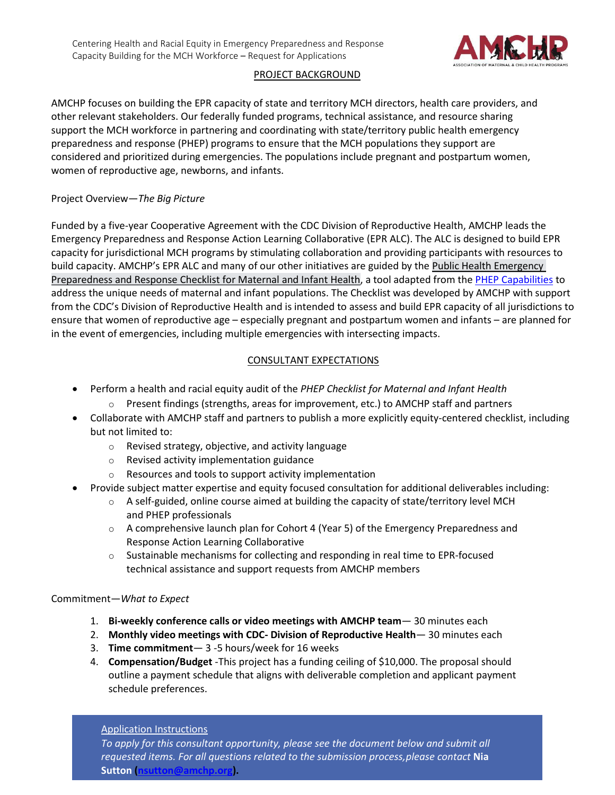

### PROJECT BACKGROUND

AMCHP focuses on building the EPR capacity of state and territory MCH directors, health care providers, and other relevant stakeholders. Our federally funded programs, technical assistance, and resource sharing support the MCH workforce in partnering and coordinating with state/territory public health emergency preparedness and response (PHEP) programs to ensure that the MCH populations they support are considered and prioritized during emergencies. The populations include pregnant and postpartum women, women of reproductive age, newborns, and infants.

#### Project Overview—*The Big Picture*

Funded by a five-year Cooperative Agreement with the CDC Division of Reproductive Health, AMCHP leads the Emergency Preparedness and Response Action Learning Collaborative (EPR ALC). The ALC is designed to build EPR capacity for jurisdictional MCH programs by stimulating collaboration and providing participants with resources to build capacity. AMCHP's EPR ALC and many of our other initiatives are guided by the [Public Health Emergency](https://amchp-my.sharepoint.com/personal/nsutton_amchp_org/Documents/Desktop/Public%20Health%20Emergency%20Preparedness%20and%20Response%20Checklist%20for%20Maternal%20and%20Infant%20Health.pdf)  Preparedness [and Response Checklist for Maternal and Infant Health,](https://amchp-my.sharepoint.com/personal/nsutton_amchp_org/Documents/Desktop/Public%20Health%20Emergency%20Preparedness%20and%20Response%20Checklist%20for%20Maternal%20and%20Infant%20Health.pdf) a tool adapted from the PHEP [Capabilities](https://www.cdc.gov/cpr/readiness/capabilities.htm) to address the unique needs of maternal and infant populations. The Checklist was developed by AMCHP with support from the CDC's Division of Reproductive Health and is intended to assess and build EPR capacity of all jurisdictions to ensure that women of reproductive age – especially pregnant and postpartum women and infants – are planned for in the event of emergencies, including multiple emergencies with intersecting impacts.

# CONSULTANT EXPECTATIONS

- Perform a health and racial equity audit of the *PHEP Checklist for Maternal and Infant Health*
	- $\circ$  Present findings (strengths, areas for improvement, etc.) to AMCHP staff and partners
- Collaborate with AMCHP staff and partners to publish a more explicitly equity-centered checklist, including but not limited to:
	- o Revised strategy, objective, and activity language
	- o Revised activity implementation guidance
	- o Resources and tools to support activity implementation
- Provide subject matter expertise and equity focused consultation for additional deliverables including:
	- $\circ$  A self-guided, online course aimed at building the capacity of state/territory level MCH and PHEP professionals
	- $\circ$  A comprehensive launch plan for Cohort 4 (Year 5) of the Emergency Preparedness and Response Action Learning Collaborative
	- $\circ$  Sustainable mechanisms for collecting and responding in real time to EPR-focused technical assistance and support requests from AMCHP members

#### Commitment—*What to Expect*

- 1. **Bi-weekly conference calls or video meetings with AMCHP team** 30 minutes each
- 2. **Monthly video meetings with CDC- Division of Reproductive Health** 30 minutes each
- 3. **Time commitment** 3 -5 hours/week for 16 weeks
- 4. **Compensation/Budget** -This project has a funding ceiling of \$10,000. The proposal should outline a payment schedule that aligns with deliverable completion and applicant payment schedule preferences.

#### Application Instructions

*To apply for this consultant opportunity, please see the document below and submit all requested items. For all questions related to the submission process,please contact* **Nia Sutton [\(nsutton@amchp.org\)](mailto:nsutton@amchp.org).**